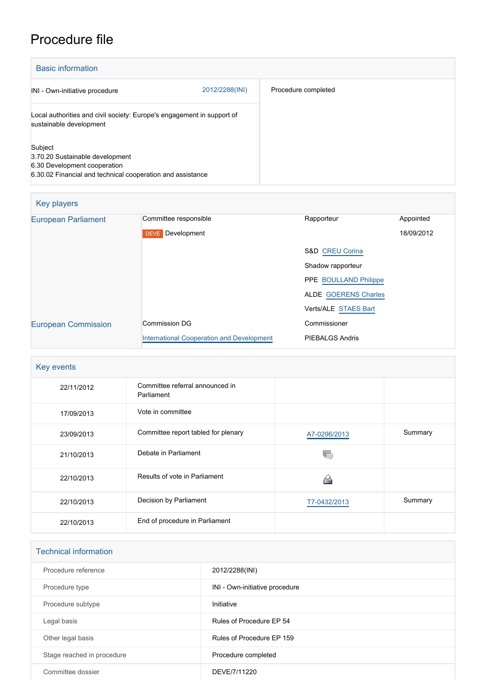## Procedure file

| <b>Basic information</b>                                                                                                                 |                |                     |  |
|------------------------------------------------------------------------------------------------------------------------------------------|----------------|---------------------|--|
| INI - Own-initiative procedure                                                                                                           | 2012/2288(INI) | Procedure completed |  |
| Local authorities and civil society: Europe's engagement in support of<br>sustainable development                                        |                |                     |  |
| Subject<br>3.70.20 Sustainable development<br>6.30 Development cooperation<br>6.30.02 Financial and technical cooperation and assistance |                |                     |  |

| Key players                |                                           |                              |            |
|----------------------------|-------------------------------------------|------------------------------|------------|
| <b>European Parliament</b> | Committee responsible                     | Rapporteur                   | Appointed  |
|                            | Development<br><b>DEVE</b>                |                              | 18/09/2012 |
|                            |                                           | S&D CREU Corina              |            |
|                            |                                           | Shadow rapporteur            |            |
|                            |                                           | <b>PPE BOULLAND Philippe</b> |            |
|                            |                                           | <b>ALDE GOERENS Charles</b>  |            |
|                            |                                           | Verts/ALE STAES Bart         |            |
| <b>European Commission</b> | Commission DG                             | Commissioner                 |            |
|                            | International Cooperation and Development | <b>PIEBALGS Andris</b>       |            |

| Key events |                                               |              |         |  |
|------------|-----------------------------------------------|--------------|---------|--|
| 22/11/2012 | Committee referral announced in<br>Parliament |              |         |  |
| 17/09/2013 | Vote in committee                             |              |         |  |
| 23/09/2013 | Committee report tabled for plenary           | A7-0296/2013 | Summary |  |
| 21/10/2013 | Debate in Parliament                          |              |         |  |
| 22/10/2013 | Results of vote in Parliament                 |              |         |  |
| 22/10/2013 | Decision by Parliament                        | T7-0432/2013 | Summary |  |
| 22/10/2013 | End of procedure in Parliament                |              |         |  |

| <b>Technical information</b> |                                |  |  |
|------------------------------|--------------------------------|--|--|
| Procedure reference          | 2012/2288(INI)                 |  |  |
| Procedure type               | INI - Own-initiative procedure |  |  |
| Procedure subtype            | Initiative                     |  |  |
| Legal basis                  | Rules of Procedure EP 54       |  |  |
| Other legal basis            | Rules of Procedure EP 159      |  |  |
| Stage reached in procedure   | Procedure completed            |  |  |
| Committee dossier            | DEVE/7/11220                   |  |  |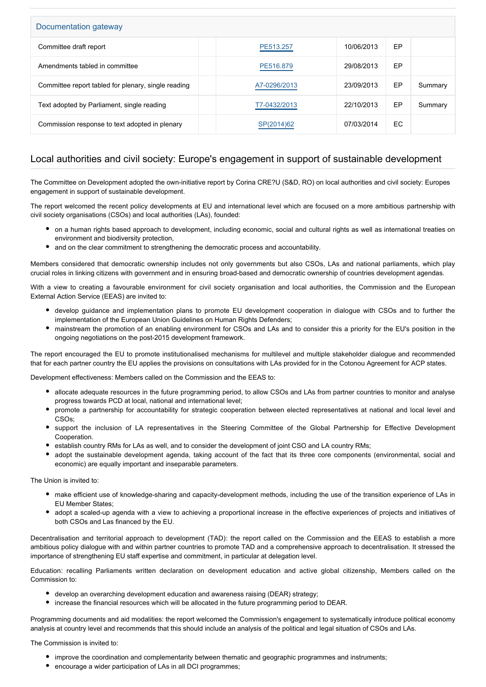| Documentation gateway                               |              |            |    |         |  |
|-----------------------------------------------------|--------------|------------|----|---------|--|
| Committee draft report                              | PE513.257    | 10/06/2013 | EP |         |  |
| Amendments tabled in committee                      | PE516,879    | 29/08/2013 | EP |         |  |
| Committee report tabled for plenary, single reading | A7-0296/2013 | 23/09/2013 | EP | Summary |  |
| Text adopted by Parliament, single reading          | T7-0432/2013 | 22/10/2013 | EP | Summary |  |
| Commission response to text adopted in plenary      | SP(2014)62   | 07/03/2014 | EC |         |  |

## Local authorities and civil society: Europe's engagement in support of sustainable development

The Committee on Development adopted the own-initiative report by Corina CRE?U (S&D, RO) on local authorities and civil society: Europes engagement in support of sustainable development.

The report welcomed the recent policy developments at EU and international level which are focused on a more ambitious partnership with civil society organisations (CSOs) and local authorities (LAs), founded:

- on a human rights based approach to development, including economic, social and cultural rights as well as international treaties on environment and biodiversity protection,
- and on the clear commitment to strengthening the democratic process and accountability.

Members considered that democratic ownership includes not only governments but also CSOs, LAs and national parliaments, which play crucial roles in linking citizens with government and in ensuring broad-based and democratic ownership of countries development agendas.

With a view to creating a favourable environment for civil society organisation and local authorities, the Commission and the European External Action Service (EEAS) are invited to:

- develop guidance and implementation plans to promote EU development cooperation in dialogue with CSOs and to further the implementation of the European Union Guidelines on Human Rights Defenders;
- mainstream the promotion of an enabling environment for CSOs and LAs and to consider this a priority for the EU's position in the ongoing negotiations on the post-2015 development framework.

The report encouraged the EU to promote institutionalised mechanisms for multilevel and multiple stakeholder dialogue and recommended that for each partner country the EU applies the provisions on consultations with LAs provided for in the Cotonou Agreement for ACP states.

Development effectiveness: Members called on the Commission and the EEAS to:

- allocate adequate resources in the future programming period, to allow CSOs and LAs from partner countries to monitor and analyse progress towards PCD at local, national and international level;
- promote a partnership for accountability for strategic cooperation between elected representatives at national and local level and CSOs;
- support the inclusion of LA representatives in the Steering Committee of the Global Partnership for Effective Development Cooperation.
- establish country RMs for LAs as well, and to consider the development of joint CSO and LA country RMs;
- adopt the sustainable development agenda, taking account of the fact that its three core components (environmental, social and economic) are equally important and inseparable parameters.

## The Union is invited to:

- make efficient use of knowledge-sharing and capacity-development methods, including the use of the transition experience of LAs in EU Member States;
- adopt a scaled-up agenda with a view to achieving a proportional increase in the effective experiences of projects and initiatives of both CSOs and Las financed by the EU.

Decentralisation and territorial approach to development (TAD): the report called on the Commission and the EEAS to establish a more ambitious policy dialogue with and within partner countries to promote TAD and a comprehensive approach to decentralisation. It stressed the importance of strengthening EU staff expertise and commitment, in particular at delegation level.

Education: recalling Parliaments written declaration on development education and active global citizenship, Members called on the Commission to:

- develop an overarching development education and awareness raising (DEAR) strategy;
- increase the financial resources which will be allocated in the future programming period to DEAR.

Programming documents and aid modalities: the report welcomed the Commission's engagement to systematically introduce political economy analysis at country level and recommends that this should include an analysis of the political and legal situation of CSOs and LAs.

The Commission is invited to:

- improve the coordination and complementarity between thematic and geographic programmes and instruments;
- encourage a wider participation of LAs in all DCI programmes;